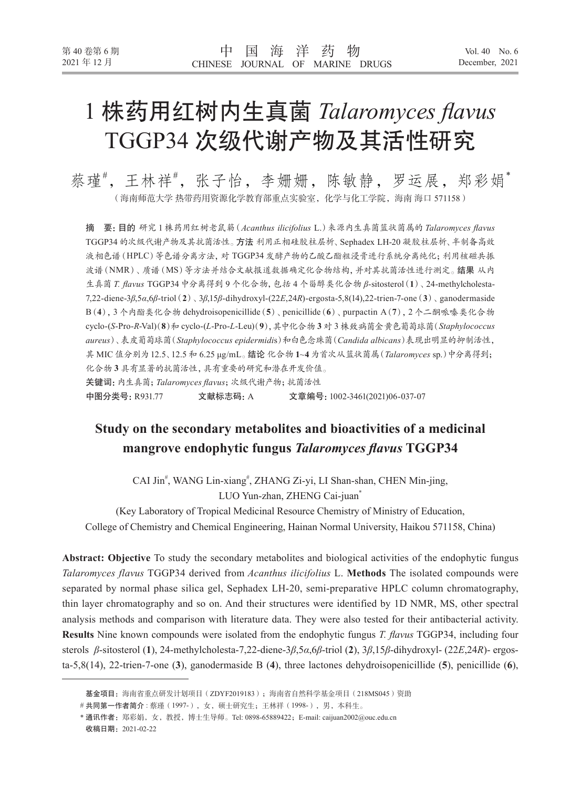# 1 株药用红树内生真菌 *Talaromyces flavus* TGGP34 次级代谢产物及其活性研究

蔡瑾#,王林祥#,张子怡,李姗姗,陈敏静,罗运展,郑彩娟\* (海南师范大学 热带药用资源化学教育部重点实验室,化学与化工学院,海南 海口 571158)

摘 要:目的 研究 1 株药用红树老鼠簕(*Acanthus ilicifolius* L.)来源内生真菌篮状菌属的 *Talaromyces flavus*  TGGP34 的次级代谢产物及其抗菌活性。方法 利用正相硅胶柱层析、Sephadex LH-20 凝胶柱层析、半制备高效 液相色谱(HPLC)等色谱分离方法,对 TGGP34 发酵产物的乙酸乙酯粗浸膏进行系统分离纯化;利用核磁共振 波谱(NMR)、质谱(MS)等方法并结合文献报道数据确定化合物结构,并对其抗菌活性进行测定。结果 从内 生真菌 *T. flavus* TGGP34 中分离得到 9 个化合物,包括 4 个甾醇类化合物 *β*-sitosterol(**1**)、24-methylcholesta-7,22-diene-3*β*,5*α*,6*β*-triol(**2**)、3*β*,15*β*-dihydroxyl-(22*E*,24*R*)-ergosta-5,8(14),22-trien-7-one(**3**)、ganodermaside B(**4**),3 个内酯类化合物 dehydroisopenicillide(**5**)、penicillide(**6**)、purpactin A(**7**),2 个二酮哌嗪类化合物 cyclo-(*S*-Pro-*R*-Val)(**8**)和 cyclo-(*L*-Pro-*L*-Leu)(**9**),其中化合物 **3** 对 3 株致病菌金黄色葡萄球菌(*Staphylococcus aureus*)、表皮葡萄球菌(*Staphylococcus epidermidi*s)和白色念珠菌(*Candida albicans*)表现出明显的抑制活性, 其 MIC 值分别为12.5、12.5 和 6.25 μg/mL。结论 化合物 **1**~**4** 为首次从篮状菌属(*Talaromyces* sp.)中分离得到; 化合物 **3** 具有显著的抗菌活性,具有重要的研究和潜在开发价值。 关键词:内生真菌;*Talaromyces flavus*;次级代谢产物;抗菌活性 中图分类号:R931.77 文献标志码:A 文章编号:1002-3461(2021)06-037-07

# **Study on the secondary metabolites and bioactivities of a medicinal mangrove endophytic fungus** *Talaromyces flavus* **TGGP34**

CAI Jin<sup>#</sup>, WANG Lin-xiang<sup>#</sup>, ZHANG Zi-yi, LI Shan-shan, CHEN Min-jing, LUO Yun-zhan, ZHENG Cai-juan\*

(Key Laboratory of Tropical Medicinal Resource Chemistry of Ministry of Education, College of Chemistry and Chemical Engineering, Hainan Normal University, Haikou 571158, China)

**Abstract: Objective** To study the secondary metabolites and biological activities of the endophytic fungus *Talaromyces flavus* TGGP34 derived from *Acanthus ilicifolius* L. **Methods** The isolated compounds were separated by normal phase silica gel, Sephadex LH-20, semi-preparative HPLC column chromatography, thin layer chromatography and so on. And their structures were identified by 1D NMR, MS, other spectral analysis methods and comparison with literature data. They were also tested for their antibacterial activity. **Results** Nine known compounds were isolated from the endophytic fungus *T. flavus* TGGP34, including four sterols *β*-sitosterol (**1**), 24-methylcholesta-7,22-diene-3*β*,5*α*,6*β*-triol (**2**), 3*β*,15*β*-dihydroxyl- (22*E*,24*R*)- ergosta-5,8(14), 22-trien-7-one (**3**), ganodermaside B (**4**), three lactones dehydroisopenicillide (**5**), penicillide (**6**),

基金项目: 海南省重点研发计划项目(ZDYF2019183);海南省自然科学基金项目(218MS045)资助

<sup>#</sup>共同第一作者简介 : 蔡瑾(1997-), 女, 硕士研究生;王林祥(1998-),男, 本科生。

<sup>\*</sup> 通讯作者: 郑彩娟, 女, 教授, 博士生导师。Tel: 0898-65889422; E-mail: caijuan2002@ouc.edu.cn 收稿日期:2021-02-22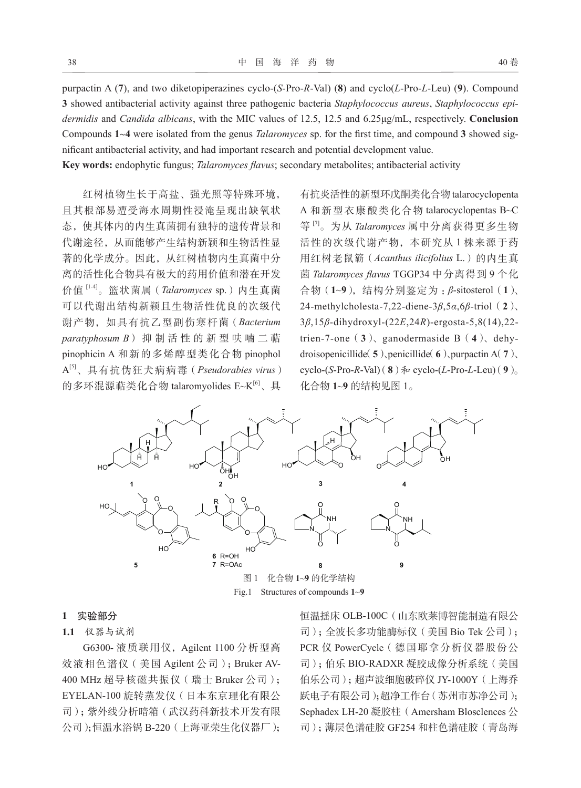purpactin A (**7**), and two diketopiperazines cyclo-(*S*-Pro-*R*-Val) (**8**) and cyclo(*L*-Pro-*L*-Leu) (**9**). Compound **3** showed antibacterial activity against three pathogenic bacteria *Staphylococcus aureus*, *Staphylococcus epidermidis* and *Candida albicans*, with the MIC values of 12.5, 12.5 and 6.25μg/mL, respectively. **Conclusion** Compounds **1**~**4** were isolated from the genus *Talaromyces* sp. for the first time, and compound **3** showed significant antibacterial activity, and had important research and potential development value.

**Key words:** endophytic fungus; *Talaromyces flavus*; secondary metabolites; antibacterial activity

红树植物生长于高盐、强光照等特殊环境, 且其根部易遭受海水周期性浸淹呈现出缺氧状 态,使其体内的内生真菌拥有独特的遗传背景和 代谢途径,从而能够产生结构新颖和生物活性显 著的化学成分。因此,从红树植物内生真菌中分 离的活性化合物具有极大的药用价值和潜在开发 价值 [1-4]。篮状菌属(*Talaromyces* sp.)内生真菌 可以代谢出结构新颖且生物活性优良的次级代 谢产物,如具有抗乙型副伤寒杆菌(*Bacterium*  paratyphosum B)抑制活性的新型呋喃二萜 pinophicin A 和新的多烯醇型类化合物 pinophol A[5]、具有抗伪狂犬病病毒(*Pseudorabies virus*) 的多环混源萜类化合物 talaromyolides E~K[6]、具

有抗炎活性的新型环戊酮类化合物talarocyclopenta A 和新型衣康酸类化合物 talarocyclopentas B~C 等 [7]。为从 *Talaromyces* 属中分离获得更多生物 活性的次级代谢产物,本研究从 1 株来源于药 用红树老鼠簕(*Acanthus ilicifolius* L.)的内生真 菌 *Talaromyces flavus* TGGP34 中分离得到 9 个化 合物(**1**~**9**),结构分别鉴定为 :*β*-sitosterol(**1**)、 24-methylcholesta-7,22-diene-3*β*,5*α*,6*β*-triol(**2**)、 3*β*,15*β*-dihydroxyl-(22*E*,24*R*)-ergosta-5,8(14),22 trien-7-one(**3**)、ganodermaside B(**4**)、dehydroisopenicillide(**5**)、penicillide(**6**)、purpactin A(**7**)、 cyclo-(*S*-Pro-*R*-Val)(**8**)  $\hat{\pi}$  cyclo-(*L*-Pro-*L*-Leu)(**9**)<sub>。</sub> 化合物 **1**~**9** 的结构见图 1。



Fig.1 Structures of compounds **1**~**9**

#### **1** 实验部分

# **1.1** 仪器与试剂

G6300- 液质联用仪,Agilent 1100 分析型高 效液相色谱仪(美国 Agilent 公司);Bruker AV-400 MHz 超导核磁共振仪(瑞士 Bruker 公司); EYELAN-100 旋转蒸发仪(日本东京理化有限公 司);紫外线分析暗箱(武汉药科新技术开发有限 公司);恒温水浴锅 B-220(上海亚荣生化仪器厂); 恒温摇床 OLB-100C(山东欧莱博智能制造有限公 司);全波长多功能酶标仪(美国 Bio Tek 公司); PCR 仪 PowerCycle(德国耶拿分析仪器股份公 司);伯乐 BIO-RADXR 凝胶成像分析系统(美国 伯乐公司);超声波细胞破碎仪 JY-1000Y(上海乔 跃电子有限公司);超净工作台(苏州市苏净公司); Sephadex LH-20 凝胶柱 (Amersham Blosclences 公 司);薄层色谱硅胶 GF254 和柱色谱硅胶(青岛海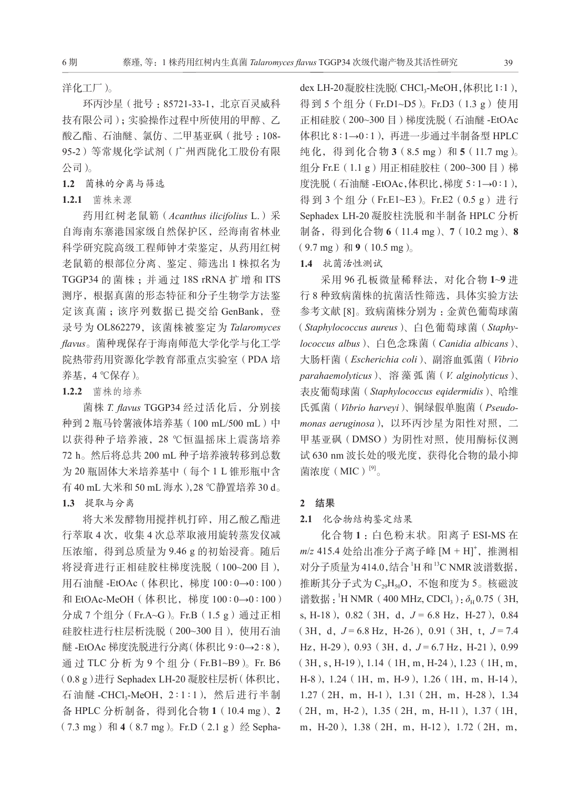洋化工厂)。

环丙沙星(批号 :85721-33-1,北京百灵威科 技有限公司);实验操作过程中所使用的甲醇、乙 酸乙酯、石油醚、氯仿、二甲基亚砜(批号 :108- 95-2)等常规化学试剂(广州西陇化工股份有限 公司)。

**1.2** 菌株的分离与筛选

# **1.2.1** 菌株来源

药用红树老鼠簕(*Acanthus ilicifolius* L.)采 自海南东寨港国家级自然保护区,经海南省林业 科学研究院高级工程师钟才荣鉴定,从药用红树 老鼠簕的根部位分离、鉴定、筛选出 1 株拟名为 TGGP34 的菌株 ;并通过 18S rRNA 扩增和 ITS 测序,根据真菌的形态特征和分子生物学方法鉴 定该真菌;该序列数据已提交给 GenBank, 登 录号为 OL862279,该菌株被鉴定为 *Talaromyces flavus*。菌种现保存于海南师范大学化学与化工学 院热带药用资源化学教育部重点实验室(PDA 培 养基,4 ℃保存)。

# **1.2.2** 菌株的培养

菌株 *T. flavus* TGGP34 经过活化后,分别接 种到 2 瓶马铃薯液体培养基(100 mL/500 mL)中 以获得种子培养液,28 ℃恒温摇床上震荡培养 72 h。然后将总共 200 mL 种子培养液转移到总数 为 20 瓶固体大米培养基中(每个 1 L 锥形瓶中含 有 40 mL 大米和 50 mL 海水),28 ℃静置培养 30 d。 **1.3** 提取与分离

将大米发酵物用搅拌机打碎, 用乙酸乙酯进 行萃取 4 次,收集 4 次总萃取液用旋转蒸发仪减 压浓缩,得到总质量为 9.46 g 的初始浸膏。随后 将浸膏进行正相硅胶柱梯度洗脱(100~200 目), 用石油醚 -EtOAc(体积比,梯度 100∶0→0∶100) 和 EtOAc-MeOH (体积比, 梯度 100:0→0:100) 分成 7 个组分(Fr.A~G)。Fr.B(1.5 g)通过正相 硅胶柱进行柱层析洗脱(200~300 目),使用石油 醚 -EtOAc 梯度洗脱进行分离(体积比 9∶0→2∶8), 通过 TLC 分析为 9 个组分 (Fr.B1~B9)。Fr. B6 (0.8 g)进行 Sephadex LH-20 凝胶柱层析(体积比, 石油醚 -CHCl<sub>3</sub>-MeOH, 2:1:1), 然后进行半制 备 HPLC 分析制备,得到化合物 **1**(10.4 mg)、**2** (7.3 mg)和 **4**(8.7 mg)。Fr.D(2.1 g)经 Sepha-

dex LH-20凝胶柱洗脱(CHCl<sub>3</sub>-MeOH,体积比1:1), 得到 5 个组分 (Fr.D1~D5)。Fr.D3 (1.3 g) 使用 正相硅胶(200~300 目)梯度洗脱(石油醚 -EtOAc 体积比 8∶1→0∶1),再进一步通过半制备型 HPLC 纯化,得到化合物 **3** (8.5 mg) 和 **5** (11.7 mg)。 组分 Fr.E (1.1 g) 用正相硅胶柱 (200~300 目) 梯 度洗脱(石油醚 -EtOAc,体积比,梯度 5∶1→0∶1), 得到 3 个组分 (Fr.E1~E3)。Fr.E2 (0.5 g) 进行 Sephadex LH-20 凝胶柱洗脱和半制备 HPLC 分析 制备,得到化合物 **6**(11.4 mg)、**7**(10.2 mg)、**8**  $(9.7 \text{ mg})$   $\overline{A}$ **19** $(10.5 \text{ mg})$ <sub>0</sub>

# **1.4** 抗菌活性测试

采用 96 孔板微量稀释法,对化合物 **1**~**9** 进 行 8 种致病菌株的抗菌活性筛选,具体实验方法 参考文献 [8]。致病菌株分别为 :金黄色葡萄球菌 (*Staphylococcus aureus*)、白色葡萄球菌(*Staphylococcus albus*)、白色念珠菌(*Canidia albicans*)、 大肠杆菌(*Escherichia coli*)、副溶血弧菌(*Vibrio parahaemolyticus*)、 溶 藻 弧 菌(*V. alginolyticus*)、 表皮葡萄球菌(*Staphylococcus eqidermidis*)、哈维 氏弧菌(*Vibrio harveyi*)、铜绿假单胞菌(*Pseudomonas aeruginosa*),以环丙沙星为阳性对照,二 甲基亚砜(DMSO)为阴性对照,使用酶标仪测 试 630 nm 波长处的吸光度, 获得化合物的最小抑 菌浓度 $(MIC)^{[9]}$ 。

# **2** 结果

### **2.1** 化合物结构鉴定结果

化合物 **1** :白色粉末状。阳离子 ESI-MS 在 *m*/*z* 415.4 处给出准分子离子峰 [M + H]**<sup>+</sup>** ,推测相 对分子质量为414.0,结合 H 和<sup>13</sup>C NMR 波谱数据, 推断其分子式为 C<sub>29</sub>H<sub>50</sub>O, 不饱和度为 5。核磁波 谱数据: <sup>1</sup>H NMR(400 MHz, CDCl<sub>3</sub>):  $\delta_H$ 0.75(3H, s, H-18), 0.82 (3H, d,  $J = 6.8$  Hz, H-27), 0.84  $(3H, d, J=6.8 Hz, H=26)$ , 0.91 (3H, t,  $J=7.4$ ) Hz, H-29), 0.93 (3H, d,  $J=6.7$  Hz, H-21), 0.99 (3H,s,H-19),1.14(1H,m,H-24),1.23(1H,m, H-8),1.24(1H,m,H-9),1.26(1H,m,H-14), 1.27(2H,m,H-1),1.31(2H,m,H-28),1.34 (2H,m,H-2),1.35(2H,m,H-11),1.37(1H, m,H-20),1.38(2H,m,H-12),1.72(2H,m,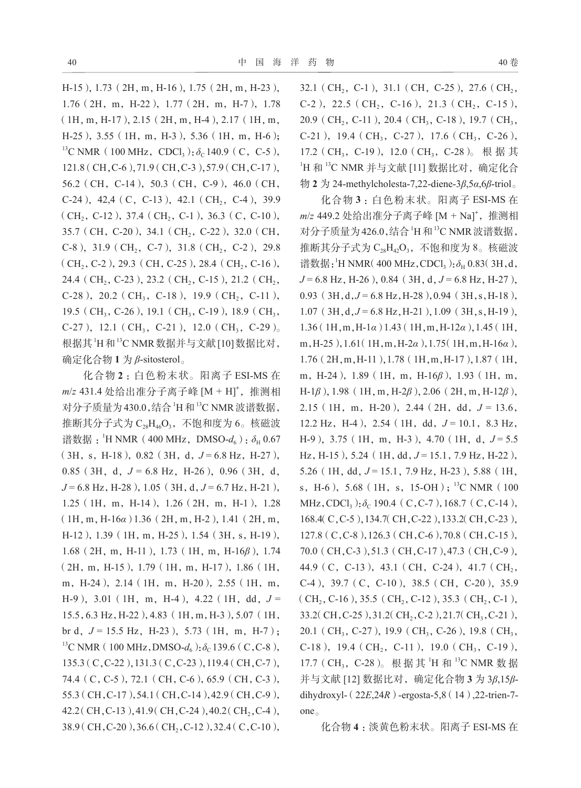H-15),1.73(2H,m,H-16),1.75(2H,m,H-23), 1.76(2H,m,H-22),1.77(2H,m,H-7),1.78  $(1H, m, H-17), 2.15$  (2H, m, H-4), 2.17 (1H, m, H-25),3.55(1H,m,H-3),5.36(1H,m,H-6); <sup>13</sup>C NMR (100 MHz, CDCl<sub>3</sub>):  $\delta_c$  140.9 (C, C-5), 121.8(CH,C-6),71.9(CH,C-3),57.9(CH,C-17), 56.2 (CH, C-14), 50.3 (CH, C-9), 46.0 (CH,  $C-24$ ), 42,4 (C, C-13), 42.1 (CH<sub>2</sub>, C-4), 39.9  $(CH_2, C-12)$ , 37.4 (CH<sub>2</sub>, C-1), 36.3 (C, C-10), 35.7 (CH, C-20), 34.1 (CH<sub>2</sub>, C-22), 32.0 (CH, C-8),  $31.9$  (CH<sub>2</sub>, C-7),  $31.8$  (CH<sub>2</sub>, C-2), 29.8  $(CH_2, C-2)$ , 29.3 (CH, C-25), 28.4 (CH<sub>2</sub>, C-16), 24.4 (CH<sub>2</sub>, C-23), 23.2 (CH<sub>2</sub>, C-15), 21.2 (CH<sub>2</sub>, C-28), 20.2 (CH<sub>3</sub>, C-18), 19.9 (CH<sub>2</sub>, C-11), 19.5 (CH<sub>3</sub>, C-26), 19.1 (CH<sub>3</sub>, C-19), 18.9 (CH<sub>3</sub>, C-27), 12.1 (CH<sub>3</sub>, C-21), 12.0 (CH<sub>3</sub>, C-29)<sub>。</sub> 根据其1H和13C NMR 数据并与文献 [10] 数据比对, 确定化合物 **1** 为 *β*-sitosterol。

化合物 **2** :白色粉末状。阳离子 ESI-MS 在 *m*/*z* 431.4 处给出准分子离子峰 [M + H]**<sup>+</sup>** ,推测相 对分子质量为430.0,结合 H 和 <sup>13</sup>C NMR 波谱数据, 推断其分子式为 C<sub>28</sub>H<sub>46</sub>O<sub>3</sub>, 不饱和度为 6。核磁波 谱数据:<sup>1</sup>H NMR(400 MHz, DMSO- $d_6$ ):  $\delta_{\text{H}}$  0.67  $(3H, s, H-18)$ , 0.82 (3H, d,  $J=6.8$  Hz, H-27), 0.85 (3H, d,  $J = 6.8$  Hz, H-26), 0.96 (3H, d, *J* = 6.8 Hz, H-28), 1.05 (3H, d, *J* = 6.7 Hz, H-21), 1.25(1H,m,H-14),1.26(2H,m,H-1),1.28 (1H,m,H-16*α*) 1.36(2H,m,H-2),1.41(2H,m, H-12),1.39(1H,m,H-25),1.54(3H,s,H-19), 1.68(2H,m,H-11),1.73(1H,m,H-16*β*),1.74 (2H,m,H-15),1.79(1H,m,H-17),1.86(1H, m, H-24), 2.14 (1H, m, H-20), 2.55 (1H, m, H-9),3.01(1H,m,H-4),4.22(1H,dd,*J* = 15.5,6.3 Hz,H-22),4.83(1H,m,H-3),5.07(1H, br d,  $J = 15.5$  Hz, H-23), 5.73 (1H, m, H-7); <sup>13</sup>C NMR (100 MHz, DMSO- $d_6$ ): $\delta_c$ 139.6 (C, C-8), 135.3(C,C-22),131.3(C,C-23),119.4(CH,C-7), 74.4(C,C-5),72.1(CH,C-6),65.9(CH,C-3), 55.3(CH,C-17),54.1(CH,C-14),42.9(CH,C-9), 42.2(CH, C-13), 41.9(CH, C-24), 40.2(CH<sub>2</sub>, C-4), 38.9 (CH, C-20), 36.6 (CH, C-12), 32.4 (C, C-10),

32.1 (CH<sub>2</sub>, C-1), 31.1 (CH, C-25), 27.6 (CH<sub>2</sub>, C-2), 22.5 (CH<sub>2</sub>, C-16), 21.3 (CH<sub>2</sub>, C-15), 20.9 (CH<sub>2</sub>, C-11), 20.4 (CH<sub>3</sub>, C-18), 19.7 (CH<sub>3</sub>, C-21), 19.4 (CH<sub>3</sub>, C-27), 17.6 (CH<sub>3</sub>, C-26), 17.2 (CH<sub>3</sub>, C-19), 12.0 (CH<sub>3</sub>, C-28)。 根 据 其 1H 和 13C NMR 并与文献 [11] 数据比对, 确定化合 物 **2** 为 24-methylcholesta-7,22-diene-3*β*,5*α*,6*β*-triol。

化合物 **3** :白色粉末状。阳离子 ESI-MS 在 *m*/*z* 449.2 处给出准分子离子峰 [M + Na]**<sup>+</sup>** ,推测相 对分子质量为426.0,结合 H 和<sup>13</sup>C NMR 波谱数据, 推断其分子式为 C<sub>28</sub>H<sub>42</sub>O<sub>3</sub>, 不饱和度为 8。核磁波 谱数据: <sup>1</sup>H NMR( 400 MHz, CDCl<sub>3</sub> ):  $\delta_{\rm H}$  0.83( 3H, d, *J* = 6.8 Hz, H-26), 0.84 (3H, d, *J* = 6.8 Hz, H-27), 0.93 (3H, d, J = 6.8 Hz, H-28), 0.94 (3H, s, H-18), 1.07(3H,d,*J* = 6.8 Hz,H-21),1.09(3H,s,H-19), 1.36(1H,m,H-1*α*) 1.43(1H,m,H-12*α*),1.45(1H, m,H-25),1.61(1H,m,H-2*α*),1.75(1H,m,H-16*α*), 1.76(2H,m,H-11),1.78(1H,m,H-17),1.87(1H, m, H-24), 1.89 (1H, m, H-16β), 1.93 (1H, m, H-1*β*),1.98(1H,m,H-2*β*),2.06(2H,m,H-12*β*), 2.15(1H,m,H-20),2.44(2H,dd,*J* = 13.6, 12.2 Hz, H-4), 2.54 (1H, dd,  $J = 10.1$ , 8.3 Hz, H-9), 3.75 (1H, m, H-3), 4.70 (1H, d, J = 5.5) Hz, H-15), 5.24 (1H, dd, J = 15.1, 7.9 Hz, H-22), 5.26 (1H, dd,  $J = 15.1$ , 7.9 Hz, H-23), 5.88 (1H, s, H-6), 5.68 (1H, s, 15-OH); <sup>13</sup>C NMR (100 MHz, CDCl<sub>3</sub>): δ<sub>C</sub> 190.4 (C, C-7), 168.7 (C, C-14), 168.4(C,C-5),134.7(CH,C-22),133.2(CH,C-23), 127.8(C,C-8),126.3(CH,C-6),70.8(CH,C-15), 70.0(CH,C-3),51.3(CH,C-17),47.3(CH,C-9), 44.9 (C, C-13), 43.1 (CH, C-24), 41.7 (CH<sub>2</sub>, C-4),39.7(C,C-10),38.5(CH,C-20),35.9 (CH<sub>2</sub>, C-16), 35.5 (CH<sub>2</sub>, C-12), 35.3 (CH<sub>2</sub>, C-1), 33.2( $CH, C-25$ ),31.2( $CH_2, C-2$ ),21.7( $CH_3, C-21$ ), 20.1 (CH<sub>3</sub>, C-27), 19.9 (CH<sub>3</sub>, C-26), 19.8 (CH<sub>3</sub>, C-18), 19.4 (CH<sub>2</sub>, C-11), 19.0 (CH<sub>3</sub>, C-19), 17.7 (CH<sub>3</sub>, C-28)。根据其 H 和 <sup>13</sup>C NMR 数据 并与文献 [12] 数据比对,确定化合物 **3** 为 3*β*,15*β*dihydroxyl-(22*E*,24*R*)-ergosta-5,8(14),22-trien-7 one。

化合物 **4** :淡黄色粉末状。阳离子 ESI-MS 在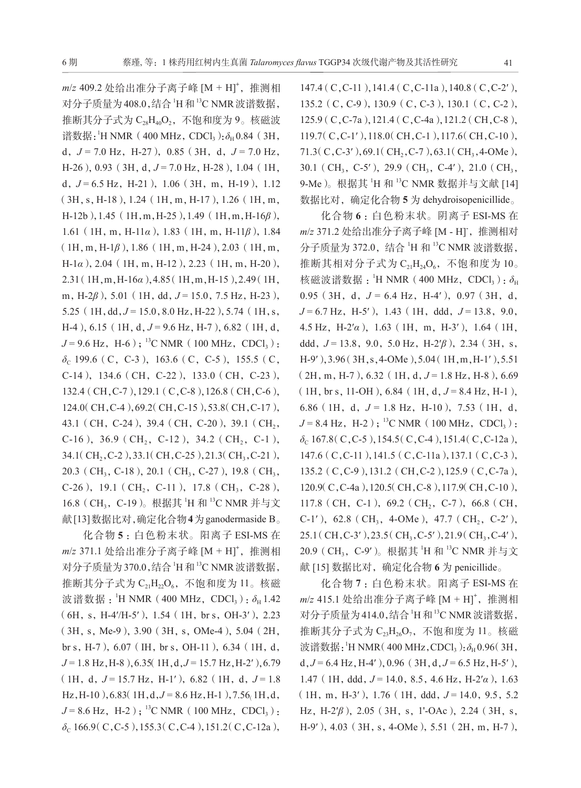*m*/*z* 409.2 处给出准分子离子峰 [M + H]**<sup>+</sup>** ,推测相 对分子质量为408.0,结合 H 和 <sup>13</sup>C NMR 波谱数据, 推断其分子式为 C<sub>28</sub>H40, 不饱和度为 9。核磁波 谱数据: <sup>1</sup>H NMR(400 MHz, CDCl<sub>3</sub> ): δ<sub>H</sub> 0.84(3H, d,  $J = 7.0$  Hz, H-27), 0.85 (3H, d,  $J = 7.0$  Hz, H-26), 0.93 (3H, d, J = 7.0 Hz, H-28), 1.04 (1H, d,  $J = 6.5$  Hz, H-21),  $1.06$  ( $3H$ , m, H-19),  $1.12$ (3H,s,H-18),1.24(1H,m,H-17),1.26(1H,m, H-12b),1.45(1H,m,H-25),1.49(1H,m,H-16*β*), 1.61(1H,m,H-11*α*),1.83(1H,m,H-11*β*),1.84 (1H,m,H-1*β*),1.86(1H,m,H-24),2.03(1H,m, H-1*α*),2.04(1H,m,H-12),2.23(1H,m,H-20), 2.31(1H,m,H-16*α*),4.85(1H,m,H-15),2.49(1H, m, H-2*β*), 5.01 (1H, dd, *J* = 15.0, 7.5 Hz, H-23), 5.25 (1H,dd, J = 15.0, 8.0 Hz, H-22), 5.74 (1H, s, H-4), 6.15 (1H, d, J = 9.6 Hz, H-7), 6.82 (1H, d,  $J = 9.6$  Hz, H-6);<sup>13</sup>C NMR (100 MHz, CDCl<sub>3</sub>): *δ*<sub>C</sub> 199.6 (C, C-3), 163.6 (C, C-5), 155.5 (C, C-14), 134.6 (CH, C-22), 133.0 (CH, C-23), 132.4(CH,C-7),129.1(C,C-8),126.8(CH,C-6), 124.0(CH, C-4), 69.2(CH, C-15), 53.8(CH, C-17), 43.1 (CH, C-24), 39.4 (CH, C-20), 39.1 (CH<sub>2</sub>, C-16), 36.9 (CH<sub>2</sub>, C-12), 34.2 (CH<sub>2</sub>, C-1), 34.1( $CH<sub>2</sub>, C-2$ ),33.1( $CH<sub>2</sub>, C-25$ ),21.3( $CH<sub>3</sub>, C-21$ ), 20.3 (CH<sub>3</sub>, C-18), 20.1 (CH<sub>3</sub>, C-27), 19.8 (CH<sub>3</sub>, C-26), 19.1 (CH<sub>2</sub>, C-11), 17.8 (CH<sub>3</sub>, C-28), 16.8 (CH<sub>3</sub>, C-19)。根据其 <sup>1</sup>H 和 <sup>13</sup>C NMR 并与文 献[13]数据比对,确定化合物**4**为ganodermaside B。

化合物 **5** :白色粉末状。阳离子 ESI-MS 在 *m*/*z* 371.1 处给出准分子离子峰 [M + H]**<sup>+</sup>** ,推测相 对分子质量为370.0,结合 H 和<sup>13</sup>C NMR 波谱数据, 推断其分子式为 $C_{21}H_{22}O_6$ , 不饱和度为  $11_{\odot}$  核磁 波谱数据:<sup>'</sup>H NMR(400 MHz, CDCl<sub>3</sub>): *δ*H 1.42  $(6H, s, H-4/H-5')$ , 1.54 (1H, br s, OH-3'), 2.23 (3H,s,Me-9),3.90(3H,s,OMe-4),5.04(2H, br s, H-7), 6.07 (IH, br s, OH-11), 6.34 (1H, d, *J* = 1.8 Hz, H-8  $\,$ , 6.35(1H, d, *J* = 15.7 Hz, H-2'), 6.79 (1H, d,  $J = 15.7$  Hz, H-1′), 6.82 (1H, d,  $J = 1.8$ ) Hz, H-10), 6.83(1H, d, J = 8.6 Hz, H-1), 7.56<sub>(1H, d</sub>,  $J = 8.6$  Hz, H-2);<sup>13</sup>C NMR (100 MHz, CDCl<sub>3</sub>): *δ*<sub>C</sub> 166.9( C, C-5), 155.3( C, C-4), 151.2( C, C-12a),

147.4 (C,C-11), 141.4 (C,C-11a), 140.8 (C,C-2'), 135.2(C,C-9),130.9(C,C-3),130.1(C,C-2), 125.9(C,C-7a),121.4(C,C-4a),121.2(CH,C-8), 119.7(C,C-1′),118.0(CH,C-1),117.6(CH,C-10), 71.3( $C, C$ -3'),69.1( $CH_2, C$ -7),63.1( $CH_3$ ,4-OMe), 30.1 (CH<sub>3</sub>, C-5′), 29.9 (CH<sub>3</sub>, C-4′), 21.0 (CH<sub>3</sub>, 9-Me)。根据其 <sup>1</sup>H 和 <sup>13</sup>C NMR 数据并与文献 [14] 数据比对,确定化合物 **5** 为 dehydroisopenicillide。

化合物 **6** :白色粉末状。阴离子 ESI-MS 在 *m*/*z* 371.2 处给出准分子离子峰 [M - H]**-** ,推测相对 分子质量为 372.0, 结合 1H 和 13C NMR 波谱数据, 推断其相对分子式为  $C_{21}H_{24}O_{6}$ , 不饱和度为  $10_{\circ}$ 核磁波谱数据: <sup>1</sup>H NMR (400 MHz, CDCl<sub>3</sub>): δ<sub>H</sub> 0.95 (3H, d,  $J = 6.4$  Hz, H-4′), 0.97 (3H, d, *J* = 6.7 Hz, H-5′), 1.43 (1H, ddd, *J* = 13.8, 9.0, 4.5 Hz,H-2′*α*),1.63(1H,m,H-3′),1.64(1H, ddd, *J* = 13.8, 9.0, 5.0 Hz, H-2<sup>'</sup>β), 2.34 (3H, s, H-9′),3.96(3H,s,4-OMe),5.04(1H,m,H-1′),5.51  $(2H, m, H-7)$ , 6.32 (1H, d,  $J = 1.8$  Hz, H-8), 6.69  $(1H, brs, 11-OH), 6.84 (1H, d, J = 8.4 Hz, H-1)$ , 6.86 (1H, d,  $J = 1.8$  Hz, H-10), 7.53 (1H, d,  $J = 8.4$  Hz, H-2);<sup>13</sup>C NMR (100 MHz, CDCl<sub>3</sub>): *δ*<sub>C</sub> 167.8( C, C-5), 154.5( C, C-4), 151.4( C, C-12a), 147.6(C,C-11),141.5(C,C-11a),137.1(C,C-3), 135.2(C,C-9),131.2(CH,C-2),125.9(C,C-7a), 120.9(C,C-4a),120.5(CH,C-8),117.9(CH,C-10), 117.8 (CH, C-1), 69.2 (CH<sub>2</sub>, C-7), 66.8 (CH, C-1′), 62.8 (CH<sub>3</sub>, 4-OMe), 47.7 (CH<sub>2</sub>, C-2′), 25.1(CH, C-3'), 23.5(CH<sub>3</sub>, C-5'), 21.9(CH<sub>3</sub>, C-4'), 20.9 (CH<sub>3</sub>, C-9')。根据其 <sup>1</sup>H 和 <sup>13</sup>C NMR 并与文 献 [15] 数据比对,确定化合物 **6** 为 penicillide。

化合物 **7** :白色粉末状。阳离子 ESI-MS 在 *m*/*z* 415.1 处给出准分子离子峰 [M + H]**<sup>+</sup>** ,推测相 对分子质量为414.0,结合 H 和<sup>13</sup>C NMR 波谱数据, 推断其分子式为 $C_{23}H_{26}O_{7}$ , 不饱和度为  $11_{\circ}$  核磁 波谱数据: <sup>1</sup>H NMR(400 MHz, CDCl<sub>3</sub>):  $\delta$ <sub>H</sub> 0.96(3H,  $d$ ,  $J = 6.4$  Hz, H-4′), 0.96 (3H,  $d$ ,  $J = 6.5$  Hz, H-5′), 1.47(1H,ddd,*J* = 14.0,8.5,4.6 Hz,H-2′*α*),1.63  $(1H, m, H-3')$ , 1.76 (1H, ddd,  $J = 14.0, 9.5, 5.2$ ) Hz, H-2<sup>'</sup>β<sup>)</sup>, 2.05 (3H, s, 1'-OAc), 2.24 (3H, s, H-9′),4.03(3H,s,4-OMe),5.51(2H,m,H-7),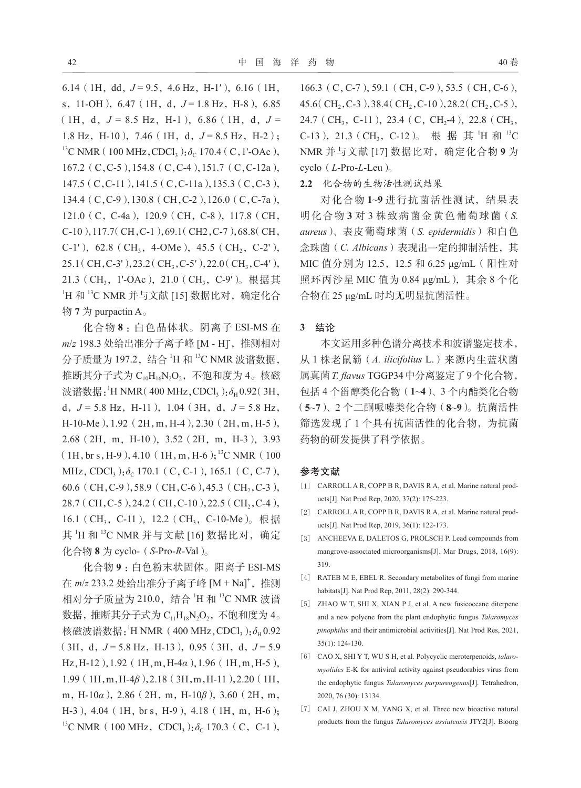6.14 (1H, dd,  $J = 9.5$ , 4.6 Hz, H-1'), 6.16 (1H, s, 11-OH), 6.47 (1H, d,  $J = 1.8$  Hz, H-8), 6.85  $(1H, d, J = 8.5 Hz, H-1)$ , 6.86 (1H, d, J = 1.8 Hz, H-10), 7.46 (1H, d,  $J = 8.5$  Hz, H-2); <sup>13</sup>C NMR (100 MHz, CDCl<sub>3</sub>):  $\delta_c$  170.4 (C, 1'-OAc), 167.2(C,C-5),154.8(C,C-4),151.7(C,C-12a), 147.5(C,C-11),141.5(C,C-11a),135.3(C,C-3), 134.4(C,C-9),130.8(CH,C-2),126.0(C,C-7a), 121.0(C,C-4a),120.9(CH,C-8),117.8(CH, C-10),117.7(CH,C-1),69.1(CH2,C-7),68.8(CH, C-1'), 62.8 (CH<sub>3</sub>, 4-OMe), 45.5 (CH<sub>2</sub>, C-2'),  $25.1$  (CH, C-3'),  $23.2$  (CH<sub>3</sub>, C-5'),  $22.0$  (CH<sub>3</sub>, C-4'), 21.3 (CH<sub>3</sub>, 1'-OAc), 21.0 (CH<sub>3</sub>, C-9')。根据其 1H 和 13C NMR 并与文献 [15] 数据比对, 确定化合 物 **7** 为 purpactin A。

化合物 **8** :白色晶体状。阴离子 ESI-MS 在 *m*/*z* 198.3 处给出准分子离子峰 [M - H]**-** ,推测相对 分子质量为 197.2, 结合 'H 和 <sup>13</sup>C NMR 波谱数据, 推断其分子式为  $C_{10}H_{16}N_2O_2$ , 不饱和度为 4。核磁 波谱数据: <sup>'</sup>H NMR( 400 MHz, CDCl<sub>3</sub>): δ<sub>H</sub> 0.92( 3H, d,  $J = 5.8$  Hz, H-11), 1.04 (3H, d,  $J = 5.8$  Hz, H-10-Me),1.92(2H,m,H-4),2.30(2H,m,H-5), 2.68(2H,m,H-10),3.52(2H,m,H-3),3.93  $(1H, br s, H-9), 4.10$  (1H, m, H-6);<sup>13</sup>C NMR (100) MHz, CDCl<sub>3</sub>): δ<sub>C</sub> 170.1 (C, C-1), 165.1 (C, C-7), 60.6 (CH, C-9),58.9 (CH, C-6),45.3 (CH<sub>2</sub>, C-3), 28.7 (CH, C-5), 24.2 (CH, C-10), 22.5 (CH<sub>2</sub>, C-4), 16.1 (CH<sub>3</sub>, C-11), 12.2 (CH<sub>3</sub>, C-10-Me)。根据 其 <sup>1</sup>H 和 <sup>13</sup>C NMR 并与文献 [16] 数据比对, 确定 化合物 **8** 为 cyclo-(*S*-Pro-*R*-Val)。

化合物 **9** :白色粉末状固体。阳离子 ESI-MS 在 *m*/*z* 233.2 处给出准分子离子峰 [M + Na]**<sup>+</sup>** ,推测 相对分子质量为 210.0, 结合 'H 和 <sup>13</sup>C NMR 波谱 数据, 推断其分子式为  $C_{11}H_{18}N_2O_2$ , 不饱和度为 4。 核磁波谱数据: <sup>1</sup>H NMR (400 MHz, CDCl<sub>3</sub>): δ<sub>H</sub> 0.92  $(3H, d, J = 5.8 Hz, H-13)$ , 0.95 (3H, d,  $J = 5.9$ ) Hz,H-12),1.92(1H,m,H-4*α*),1.96(1H,m,H-5), 1.99(1H,m,H-4*β*),2.18(3H,m,H-11),2.20(1H, m,H-10*α*),2.86(2H,m,H-10*β*),3.60(2H,m, H-3), 4.04 (1H, br s, H-9), 4.18 (1H, m, H-6); <sup>13</sup>C NMR (100 MHz, CDCl<sub>3</sub>): $\delta_c$  170.3 (C, C-1),

166.3 (C, C-7), 59.1 (CH, C-9), 53.5 (CH, C-6), 45.6(CH<sub>2</sub>,C-3),38.4(CH<sub>2</sub>,C-10),28.2(CH<sub>2</sub>,C-5), 24.7 (CH<sub>3</sub>, C-11), 23.4 (C, CH<sub>2</sub>-4), 22.8 (CH<sub>3</sub>, C-13), 21.3 (CH<sub>3</sub>, C-12)。 根 据 其 <sup>1</sup>H 和 <sup>13</sup>C NMR 并与文献 [17] 数据比对,确定化合物 **9** 为 cyclo(*L*-Pro-*L*-Leu)。

**2.2** 化合物的生物活性测试结果

对化合物 **1**~**9** 进行抗菌活性测试,结果表 明化合物 **3** 对 3 株致病菌金黄色葡萄球菌(*S. aureus*)、表皮葡萄球菌(*S. epidermidis*)和白色 念珠菌(*C. Albicans*)表现出一定的抑制活性,其 MIC 值分别为 12.5,12.5 和 6.25 μg/mL(阳性对 照环丙沙星 MIC 值为 0.84 μg/mL),其余 8 个化 合物在 25 μg/mL 时均无明显抗菌活性。

### **3** 结论

本文运用多种色谱分离技术和波谱鉴定技术, 从 1 株老鼠簕(*A. ilicifolius* L.)来源内生蓝状菌 属真菌*T. flavus* TGGP34中分离鉴定了9个化合物, 包括 4 个甾醇类化合物(**1**~**4**)、3 个内酯类化合物 (**5**~**7**)、2 个二酮哌嗪类化合物(**8**~**9**)。抗菌活性 筛选发现了 1 个具有抗菌活性的化合物,为抗菌 药物的研发提供了科学依据。

#### 参考文献

- [1] CARROLL A R, COPP B R, DAVIS R A, et al. Marine natural products[J]. Nat Prod Rep, 2020, 37(2): 175-223.
- [2] CARROLL A R, COPP B R, DAVIS R A, et al. Marine natural products[J]. Nat Prod Rep, 2019, 36(1): 122-173.
- [3] ANCHEEVA E, DALETOS G, PROLSCH P. Lead compounds from mangrove-associated microorganisms[J]. Mar Drugs, 2018, 16(9): 319.
- [4] RATEB M E, EBEL R. Secondary metabolites of fungi from marine habitats[J]. Nat Prod Rep, 2011, 28(2): 290-344.
- [5] ZHAO W T, SHI X, XIAN P J, et al. A new fusicoccane diterpene and a new polyene from the plant endophytic fungus *Talaromyces pinophilus* and their antimicrobial activities[J]. Nat Prod Res, 2021, 35(1): 124-130.
- [6] CAO X, SHI Y T, WU S H, et al. Polycyclic meroterpenoids, *talaromyolides* E-K for antiviral activity against pseudorabies virus from the endophytic fungus *Talaromyces purpureogenus*[J]. Tetrahedron, 2020, 76 (30): 13134.
- [7] CAI J, ZHOU X M, YANG X, et al. Three new bioactive natural products from the fungus *Talaromyces assiutensis* JTY2[J]. Bioorg